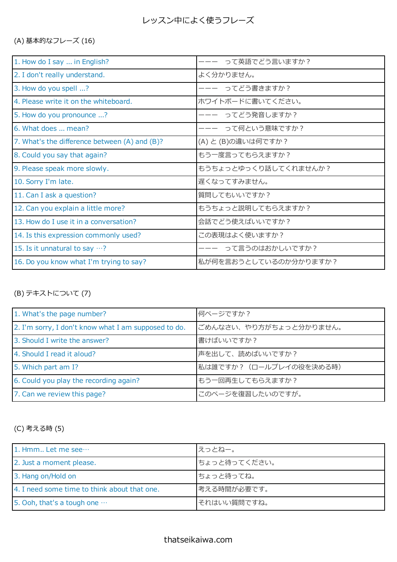(A) 基本的なフレーズ (16)

| 1. How do I say  in English?                  | って英語でどう言いますか?         |
|-----------------------------------------------|-----------------------|
| 2. I don't really understand.                 | よく分かりません。             |
| 3. How do you spell ?                         | ってどう書きますか?            |
| 4. Please write it on the whiteboard.         | ホワイトボードに書いてください。      |
| 5. How do you pronounce ?                     | ってどう発音しますか?           |
| 6. What does  mean?                           | って何という意味ですか?          |
| 7. What's the difference between (A) and (B)? | (A) と (B)の違いは何ですか?    |
| 8. Could you say that again?                  | もう一度言ってもらえますか?        |
| 9. Please speak more slowly.                  | もうちょっとゆっくり話してくれませんか?  |
| 10. Sorry I'm late.                           | 遅くなってすみません。           |
| 11. Can I ask a question?                     | 質問してもいいですか?           |
| 12. Can you explain a little more?            | もうちょっと説明してもらえますか?     |
| 13. How do I use it in a conversation?        | 会話でどう使えばいいですか?        |
| 14. Is this expression commonly used?         | この表現はよく使いますか?         |
| 15. Is it unnatural to say $\cdots$ ?         | って言うのはおかしいですか?        |
| 16. Do you know what I'm trying to say?       | 私が何を言おうとしているのか分かりますか? |
|                                               |                       |

## (B) テキストについて (7)

| 1. What's the page number?                           | 何ページですか?                |
|------------------------------------------------------|-------------------------|
| 2. I'm sorry, I don't know what I am supposed to do. | ごめんなさい、やり方がちょっと分かりません。  |
| 3. Should I write the answer?                        | 書けばいいですか?               |
| 4. Should I read it aloud?                           | 声を出して、読めばいいですか?         |
| 5. Which part am I?                                  | 私は誰ですか? (ロールプレイの役を決める時) |
| 6. Could you play the recording again?               | もう一回再生してもらえますか?         |
| 7. Can we review this page?                          | このページを復習したいのですが。        |

(C) 考える時 (5)

| 1. Hmm Let me see                            | えっとねー。       |
|----------------------------------------------|--------------|
| 2. Just a moment please.                     | ちょっと待ってください。 |
| 3. Hang on/Hold on                           | ちょっと待ってね。    |
| 4. I need some time to think about that one. | 考える時間が必要です。  |
| 5. Ooh, that's a tough one $\cdots$          | それはいい質問ですね。  |